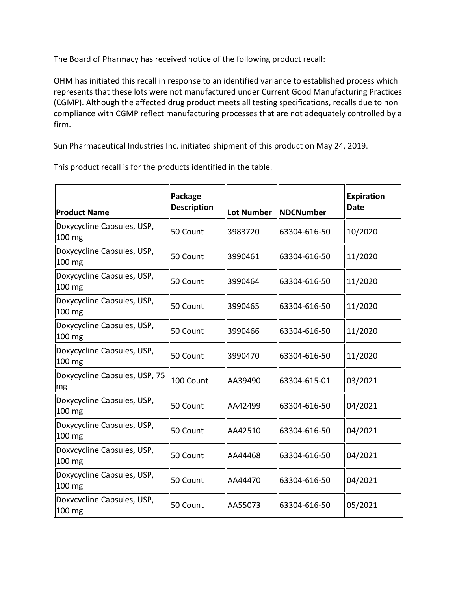The Board of Pharmacy has received notice of the following product recall:

 represents that these lots were not manufactured under Current Good Manufacturing Practices OHM has initiated this recall in response to an identified variance to established process which (CGMP). Although the affected drug product meets all testing specifications, recalls due to non compliance with CGMP reflect manufacturing processes that are not adequately controlled by a firm.

Sun Pharmaceutical Industries Inc. initiated shipment of this product on May 24, 2019.

| <b>Product Name</b>                    | Package<br><b>Description</b> | <b>Lot Number</b> | <b>NDCNumber</b> | <b>Expiration</b><br>Date |
|----------------------------------------|-------------------------------|-------------------|------------------|---------------------------|
| Doxycycline Capsules, USP,<br>100 mg   | 50 Count                      | 3983720           | 63304-616-50     | 10/2020                   |
| Doxycycline Capsules, USP,<br>100 mg   | 50 Count                      | 3990461           | 63304-616-50     | 11/2020                   |
| Doxycycline Capsules, USP,<br>100 mg   | 50 Count                      | 3990464           | 63304-616-50     | 11/2020                   |
| Doxycycline Capsules, USP,<br>100 mg   | 50 Count                      | 3990465           | 63304-616-50     | 11/2020                   |
| Doxycycline Capsules, USP,<br>100 mg   | 50 Count                      | 3990466           | 63304-616-50     | 11/2020                   |
| Doxycycline Capsules, USP,<br>100 mg   | 50 Count                      | 3990470           | 63304-616-50     | 11/2020                   |
| Doxycycline Capsules, USP, 75<br>mg    | 100 Count                     | AA39490           | 63304-615-01     | 03/2021                   |
| Doxycycline Capsules, USP,<br>$100$ mg | 50 Count                      | AA42499           | 63304-616-50     | 04/2021                   |
| Doxycycline Capsules, USP,<br>100 mg   | 50 Count                      | AA42510           | 63304-616-50     | 04/2021                   |
| Doxvcycline Capsules, USP,<br>100 mg   | 50 Count                      | AA44468           | 63304-616-50     | 04/2021                   |
| Doxycycline Capsules, USP,<br>100 mg   | 50 Count                      | AA44470           | 63304-616-50     | 04/2021                   |
| Doxvcvcline Capsules, USP,<br>100 mg   | 50 Count                      | AA55073           | 63304-616-50     | 05/2021                   |

This product recall is for the products identified in the table.